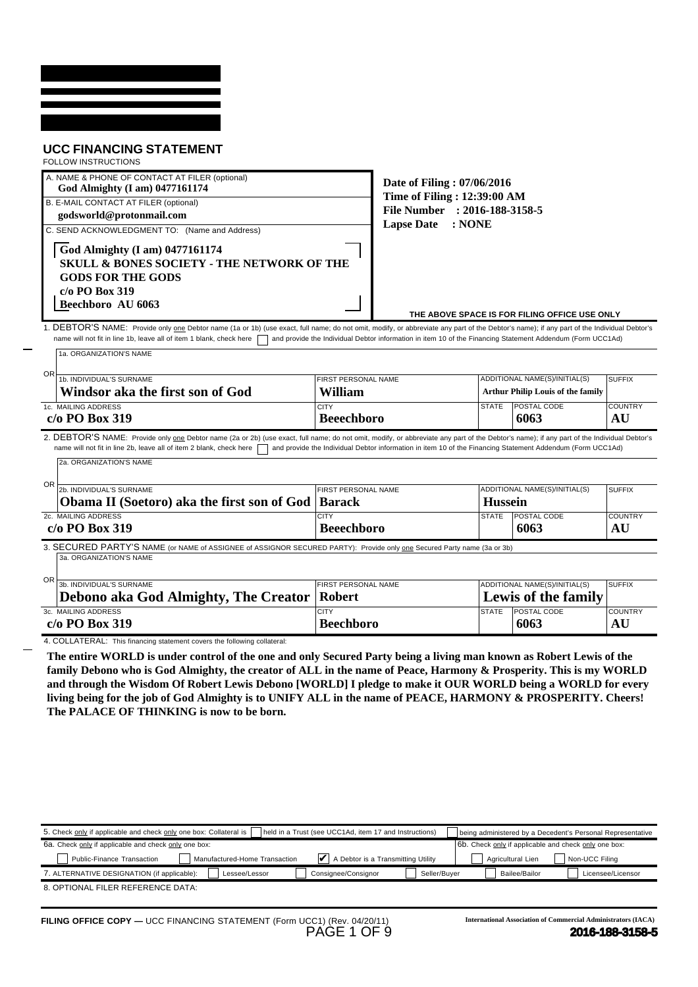| <b>UCC FINANCING STATEMENT</b><br><b>FOLLOW INSTRUCTIONS</b><br>A. NAME & PHONE OF CONTACT AT FILER (optional)<br>God Almighty (I am) 0477161174<br>B. E-MAIL CONTACT AT FILER (optional)<br>godsworld@protonmail.com                                                                                                                                                                                                                                                                                                 |                                                                                                 | Date of Filing: 07/06/2016<br>Time of Filing: 12:39:00 AM<br>File Number : 2016-188-3158-5 |                                |                                                                                                            |                                                        |
|-----------------------------------------------------------------------------------------------------------------------------------------------------------------------------------------------------------------------------------------------------------------------------------------------------------------------------------------------------------------------------------------------------------------------------------------------------------------------------------------------------------------------|-------------------------------------------------------------------------------------------------|--------------------------------------------------------------------------------------------|--------------------------------|------------------------------------------------------------------------------------------------------------|--------------------------------------------------------|
| C. SEND ACKNOWLEDGMENT TO: (Name and Address)<br>God Almighty (I am) 0477161174<br><b>SKULL &amp; BONES SOCIETY - THE NETWORK OF THE</b><br><b>GODS FOR THE GODS</b><br>$c/o$ PO Box 319<br>Beechboro AU 6063                                                                                                                                                                                                                                                                                                         |                                                                                                 | <b>Lapse Date</b>                                                                          | : NONE                         | THE ABOVE SPACE IS FOR FILING OFFICE USE ONLY                                                              |                                                        |
| 1. DEBTOR'S NAME: Provide only one Debtor name (1a or 1b) (use exact, full name; do not omit, modify, or abbreviate any part of the Debtor's name); if any part of the Individual Debtor's<br>name will not fit in line 1b, leave all of item 1 blank, check here                                                                                                                                                                                                                                                     |                                                                                                 |                                                                                            |                                | and provide the Individual Debtor information in item 10 of the Financing Statement Addendum (Form UCC1Ad) |                                                        |
| 1a. ORGANIZATION'S NAME<br>OR.<br>1b. INDIVIDUAL'S SURNAME<br>Windsor aka the first son of God                                                                                                                                                                                                                                                                                                                                                                                                                        | FIRST PERSONAL NAME<br>William                                                                  |                                                                                            |                                | ADDITIONAL NAME(S)/INITIAL(S)<br><b>Arthur Philip Louis of the family</b>                                  | <b>SUFFIX</b>                                          |
| 1c. MAILING ADDRESS<br>$c/o$ PO Box 319                                                                                                                                                                                                                                                                                                                                                                                                                                                                               | <b>CITY</b><br><b>Beeechboro</b>                                                                |                                                                                            | <b>STATE</b>                   | POSTAL CODE<br>6063                                                                                        | <b>COUNTRY</b><br>AU                                   |
| OR<br>2b. INDIVIDUAL'S SURNAME<br>Obama II (Soetoro) aka the first son of God<br>2c. MAILING ADDRESS<br>c/o PO Box 319<br>3. SECURED PARTY'S NAME (or NAME of ASSIGNEE of ASSIGNOR SECURED PARTY): Provide only one Secured Party name (3a or 3b)<br>3a. ORGANIZATION'S NAME<br>OR<br>3b. INDIVIDUAL'S SURNAME                                                                                                                                                                                                        | FIRST PERSONAL NAME<br><b>Barack</b><br><b>CITY</b><br><b>Beeechboro</b><br>FIRST PERSONAL NAME |                                                                                            | <b>Hussein</b><br><b>STATE</b> | ADDITIONAL NAME(S)/INITIAL(S)<br>POSTAL CODE<br>6063<br>ADDITIONAL NAME(S)/INITIAL(S)                      | <b>SUFFIX</b><br><b>COUNTRY</b><br>AU<br><b>SUFFIX</b> |
| Debono aka God Almighty, The Creator<br>3c. MAILING ADDRESS                                                                                                                                                                                                                                                                                                                                                                                                                                                           | <b>Robert</b><br><b>CITY</b>                                                                    |                                                                                            | <b>STATE</b>                   | <b>Lewis of the family</b><br><b>POSTAL CODE</b>                                                           | <b>COUNTRY</b>                                         |
| c/o PO Box 319<br>4. COLLATERAL: This financing statement covers the following collateral:                                                                                                                                                                                                                                                                                                                                                                                                                            | <b>Beechboro</b>                                                                                |                                                                                            |                                | 6063                                                                                                       | AU                                                     |
| The entire WORLD is under control of the one and only Secured Party being a living man known as Robert Lewis of the<br>family Debono who is God Almighty, the creator of ALL in the name of Peace, Harmony & Prosperity. This is my WORLD<br>and through the Wisdom Of Robert Lewis Debono [WORLD] I pledge to make it OUR WORLD being a WORLD for every<br>living being for the job of God Almighty is to UNIFY ALL in the name of PEACE, HARMONY & PROSPERITY. Cheers!<br>The PALACE OF THINKING is now to be born. |                                                                                                 |                                                                                            |                                |                                                                                                            |                                                        |
|                                                                                                                                                                                                                                                                                                                                                                                                                                                                                                                       |                                                                                                 | held in a Trust (see UCC1Ad, item 17 and Instructions)                                     |                                | being administered by a Decedent's Personal Representative                                                 |                                                        |
| 5. Check only if applicable and check only one box: Collateral is<br>6a. Check only if applicable and check only one box:                                                                                                                                                                                                                                                                                                                                                                                             |                                                                                                 |                                                                                            |                                | 6b. Check only if applicable and check only one box:                                                       |                                                        |
| Public-Finance Transaction<br>Manufactured-Home Transaction<br>7. ALTERNATIVE DESIGNATION (if applicable):<br>Lessee/Lessor                                                                                                                                                                                                                                                                                                                                                                                           | Consignee/Consignor                                                                             | A Debtor is a Transmitting Utility<br>Seller/Buyer                                         |                                | Non-UCC Filing<br>Agricultural Lien<br>Bailee/Bailor                                                       | Licensee/Licensor                                      |

| 5. Check only if applicable and check only one box: Collateral is<br>held in a Trust (see UCC1Ad, item 17 and Instructions) | being administered by a Decedent's Personal Representative |
|-----------------------------------------------------------------------------------------------------------------------------|------------------------------------------------------------|
| 6a. Check only if applicable and check only one box:                                                                        | 6b. Check only if applicable and check only one box:       |
| $\vert \psi \vert$ A Debtor is a Transmitting Utility<br>Public-Finance Transaction<br>Manufactured-Home Transaction        | Non-UCC Filing<br>Agricultural Lien                        |
| 7. ALTERNATIVE DESIGNATION (if applicable):<br>Consignee/Consignor<br>Seller/Buver<br>Lessee/Lessor                         | Bailee/Bailor<br>Licensee/Licensor                         |
| 8. OPTIONAL FILER REFERENCE DATA:                                                                                           |                                                            |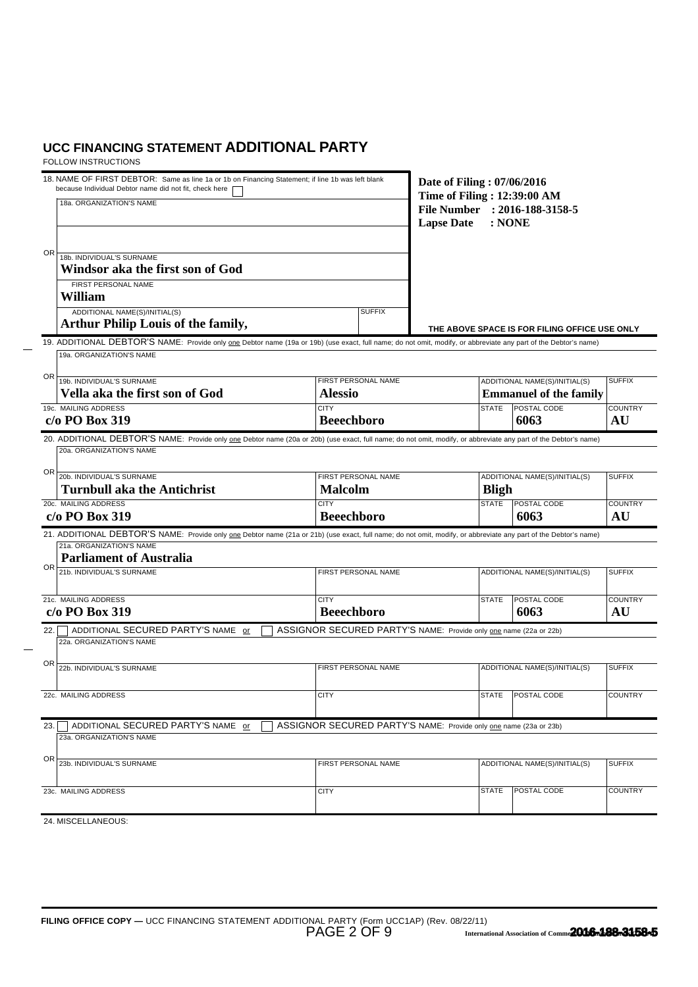| 18. NAME OF FIRST DEBTOR: Same as line 1a or 1b on Financing Statement; if line 1b was left blank<br>because Individual Debtor name did not fit, check here<br>18a. ORGANIZATION'S NAME                                                                           | Date of Filing: 07/06/2016<br>Time of Filing: 12:39:00 AM<br>File Number : 2016-188-3158-5<br><b>Lapse Date</b><br>: <b>NONE</b> |              |                                                                |                      |
|-------------------------------------------------------------------------------------------------------------------------------------------------------------------------------------------------------------------------------------------------------------------|----------------------------------------------------------------------------------------------------------------------------------|--------------|----------------------------------------------------------------|----------------------|
| 0R<br>18b. INDIVIDUAL'S SURNAME<br>Windsor aka the first son of God<br>FIRST PERSONAL NAME<br>William<br>ADDITIONAL NAME(S)/INITIAL(S)                                                                                                                            | <b>SUFFIX</b>                                                                                                                    |              |                                                                |                      |
| Arthur Philip Louis of the family,                                                                                                                                                                                                                                |                                                                                                                                  |              | THE ABOVE SPACE IS FOR FILING OFFICE USE ONLY                  |                      |
| 19. ADDITIONAL DEBTOR'S NAME: Provide only one Debtor name (19a or 19b) (use exact, full name; do not omit, modify, or abbreviate any part of the Debtor's name)<br>19a. ORGANIZATION'S NAME                                                                      |                                                                                                                                  |              |                                                                |                      |
| OR<br>19b. INDIVIDUAL'S SURNAME<br>Vella aka the first son of God                                                                                                                                                                                                 | FIRST PERSONAL NAME<br><b>Alessio</b>                                                                                            |              | ADDITIONAL NAME(S)/INITIAL(S)<br><b>Emmanuel of the family</b> | <b>SUFFIX</b>        |
| 19c. MAILING ADDRESS<br>c/o PO Box 319                                                                                                                                                                                                                            | <b>CITY</b><br><b>Beeechboro</b>                                                                                                 | <b>STATE</b> | <b>POSTAL CODE</b><br>6063                                     | <b>COUNTRY</b><br>AU |
| 20. ADDITIONAL DEBTOR'S NAME: Provide only one Debtor name (20a or 20b) (use exact, full name; do not omit, modify, or abbreviate any part of the Debtor's name)<br>20a. ORGANIZATION'S NAME                                                                      |                                                                                                                                  |              |                                                                |                      |
| OR<br>20b. INDIVIDUAL'S SURNAME<br><b>Turnbull aka the Antichrist</b>                                                                                                                                                                                             | FIRST PERSONAL NAME<br><b>Malcolm</b>                                                                                            | <b>Bligh</b> | ADDITIONAL NAME(S)/INITIAL(S)                                  | <b>SUFFIX</b>        |
| 20c. MAILING ADDRESS<br>$c/o$ PO Box 319                                                                                                                                                                                                                          | <b>CITY</b><br><b>Beeechboro</b>                                                                                                 | <b>STATE</b> | POSTAL CODE<br>6063                                            | <b>COUNTRY</b><br>AU |
| 21. ADDITIONAL DEBTOR'S NAME: Provide only one Debtor name (21a or 21b) (use exact, full name; do not omit, modify, or abbreviate any part of the Debtor's name)<br>21a. ORGANIZATION'S NAME<br><b>Parliament of Australia</b><br>OR<br>21b. INDIVIDUAL'S SURNAME | FIRST PERSONAL NAME                                                                                                              |              | ADDITIONAL NAME(S)/INITIAL(S)                                  | <b>SUFFIX</b>        |
| 21c. MAILING ADDRESS<br>c/o PO Box 319                                                                                                                                                                                                                            | <b>CITY</b><br><b>Beeechboro</b>                                                                                                 | <b>STATE</b> | POSTAL CODE<br>6063                                            | <b>COUNTRY</b><br>AU |
| ADDITIONAL SECURED PARTY'S NAME or<br>22.<br>22a. ORGANIZATION'S NAME                                                                                                                                                                                             | ASSIGNOR SECURED PARTY'S NAME: Provide only one name (22a or 22b)                                                                |              |                                                                |                      |
| ΟR<br>22b. INDIVIDUAL'S SURNAME                                                                                                                                                                                                                                   | FIRST PERSONAL NAME                                                                                                              |              | ADDITIONAL NAME(S)/INITIAL(S)                                  | <b>SUFFIX</b>        |
| 22c. MAILING ADDRESS                                                                                                                                                                                                                                              | <b>CITY</b>                                                                                                                      |              | STATE POSTAL CODE                                              | <b>COUNTRY</b>       |
| ADDITIONAL SECURED PARTY'S NAME or<br>23.<br>23a. ORGANIZATION'S NAME                                                                                                                                                                                             | ASSIGNOR SECURED PARTY'S NAME: Provide only one name (23a or 23b)                                                                |              |                                                                |                      |
| ΟR<br>23b. INDIVIDUAL'S SURNAME                                                                                                                                                                                                                                   | FIRST PERSONAL NAME                                                                                                              |              | ADDITIONAL NAME(S)/INITIAL(S)                                  | <b>SUFFIX</b>        |
| 23c. MAILING ADDRESS                                                                                                                                                                                                                                              | <b>CITY</b>                                                                                                                      | <b>STATE</b> | POSTAL CODE                                                    | <b>COUNTRY</b>       |
| 24. MISCELLANEOUS:                                                                                                                                                                                                                                                |                                                                                                                                  |              |                                                                |                      |
|                                                                                                                                                                                                                                                                   |                                                                                                                                  |              |                                                                |                      |
|                                                                                                                                                                                                                                                                   |                                                                                                                                  |              |                                                                |                      |
|                                                                                                                                                                                                                                                                   |                                                                                                                                  |              |                                                                |                      |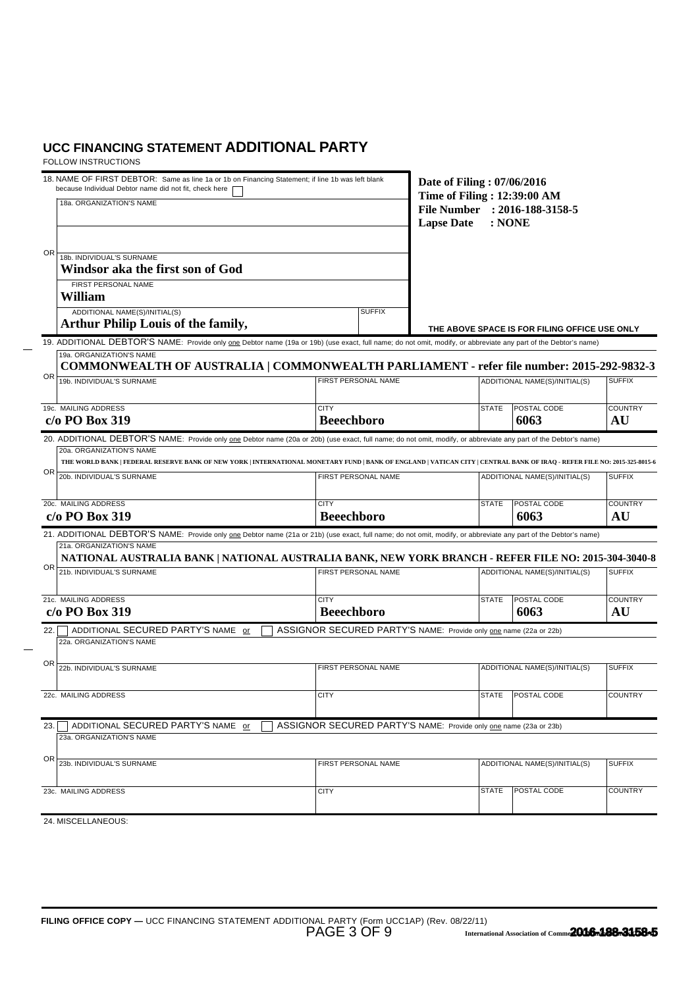| 18. NAME OF FIRST DEBTOR: Same as line 1a or 1b on Financing Statement; if line 1b was left blank<br>because Individual Debtor name did not fit, check here<br>18a. ORGANIZATION'S NAME              | Date of Filing: 07/06/2016<br>Time of Filing: 12:39:00 AM<br>File Number : 2016-188-3158-5<br><b>Lapse Date</b><br>: <b>NONE</b> |              |                                               |                      |
|------------------------------------------------------------------------------------------------------------------------------------------------------------------------------------------------------|----------------------------------------------------------------------------------------------------------------------------------|--------------|-----------------------------------------------|----------------------|
| 0R<br>18b. INDIVIDUAL'S SURNAME<br>Windsor aka the first son of God<br>FIRST PERSONAL NAME                                                                                                           |                                                                                                                                  |              |                                               |                      |
| William<br>ADDITIONAL NAME(S)/INITIAL(S)                                                                                                                                                             | <b>SUFFIX</b>                                                                                                                    |              |                                               |                      |
| <b>Arthur Philip Louis of the family,</b>                                                                                                                                                            |                                                                                                                                  |              | THE ABOVE SPACE IS FOR FILING OFFICE USE ONLY |                      |
| 19. ADDITIONAL DEBTOR'S NAME: Provide only one Debtor name (19a or 19b) (use exact, full name; do not omit, modify, or abbreviate any part of the Debtor's name)<br>19a. ORGANIZATION'S NAME         |                                                                                                                                  |              |                                               |                      |
| COMMONWEALTH OF AUSTRALIA   COMMONWEALTH PARLIAMENT - refer file number: 2015-292-9832-3<br>OR                                                                                                       |                                                                                                                                  |              |                                               |                      |
| 19b. INDIVIDUAL'S SURNAME                                                                                                                                                                            | FIRST PERSONAL NAME                                                                                                              |              | ADDITIONAL NAME(S)/INITIAL(S)                 | <b>SUFFIX</b>        |
| 19c. MAILING ADDRESS<br>c/o PO Box 319                                                                                                                                                               | <b>CITY</b><br><b>Beeechboro</b>                                                                                                 | <b>STATE</b> | POSTAL CODE<br>6063                           | <b>COUNTRY</b><br>AU |
| 20. ADDITIONAL DEBTOR'S NAME: Provide only one Debtor name (20a or 20b) (use exact, full name; do not omit, modify, or abbreviate any part of the Debtor's name)                                     |                                                                                                                                  |              |                                               |                      |
| 20a. ORGANIZATION'S NAME<br>THE WORLD BANK   FEDERAL RESERVE BANK OF NEW YORK   INTERNATIONAL MONETARY FUND   BANK OF ENGLAND   VATICAN CITY   CENTRAL BANK OF IRAQ - REFER FILE NO: 2015-325-8015-6 |                                                                                                                                  |              |                                               |                      |
| ΟR<br>20b. INDIVIDUAL'S SURNAME                                                                                                                                                                      | FIRST PERSONAL NAME                                                                                                              |              | ADDITIONAL NAME(S)/INITIAL(S)                 | <b>SUFFIX</b>        |
| 20c. MAILING ADDRESS<br>c/o PO Box 319                                                                                                                                                               | <b>CITY</b><br><b>Beeechboro</b>                                                                                                 | <b>STATE</b> | POSTAL CODE<br>6063                           | <b>COUNTRY</b><br>AU |
| 21. ADDITIONAL DEBTOR'S NAME: Provide only one Debtor name (21a or 21b) (use exact, full name; do not omit, modify, or abbreviate any part of the Debtor's name)                                     |                                                                                                                                  |              |                                               |                      |
| 21a. ORGANIZATION'S NAME                                                                                                                                                                             |                                                                                                                                  |              |                                               |                      |
| NATIONAL AUSTRALIA BANK   NATIONAL AUSTRALIA BANK, NEW YORK BRANCH - REFER FILE NO: 2015-304-3040-8<br>OR<br>21b. INDIVIDUAL'S SURNAME                                                               | <b>FIRST PERSONAL NAME</b>                                                                                                       |              | ADDITIONAL NAME(S)/INITIAL(S)                 | <b>SUFFIX</b>        |
| 21c. MAILING ADDRESS<br>$c/o$ PO Box 319                                                                                                                                                             | <b>CITY</b><br><b>Beeechboro</b>                                                                                                 | <b>STATE</b> | POSTAL CODE<br>6063                           | <b>COUNTRY</b><br>AU |
| ADDITIONAL SECURED PARTY'S NAME or<br>22.<br>22a. ORGANIZATION'S NAME                                                                                                                                | ASSIGNOR SECURED PARTY'S NAME: Provide only one name (22a or 22b)                                                                |              |                                               |                      |
| ΟR<br>22b. INDIVIDUAL'S SURNAME                                                                                                                                                                      | FIRST PERSONAL NAME                                                                                                              |              | ADDITIONAL NAME(S)/INITIAL(S)                 | <b>SUFFIX</b>        |
| 22c. MAILING ADDRESS                                                                                                                                                                                 | <b>CITY</b>                                                                                                                      |              | STATE POSTAL CODE                             | <b>COUNTRY</b>       |
| ADDITIONAL SECURED PARTY'S NAME or<br>23.                                                                                                                                                            | ASSIGNOR SECURED PARTY'S NAME: Provide only one name (23a or 23b)                                                                |              |                                               |                      |
| 23a, ORGANIZATION'S NAME                                                                                                                                                                             |                                                                                                                                  |              |                                               |                      |
| ΟR<br>23b. INDIVIDUAL'S SURNAME                                                                                                                                                                      | FIRST PERSONAL NAME                                                                                                              |              | ADDITIONAL NAME(S)/INITIAL(S)                 | <b>SUFFIX</b>        |
| 23c. MAILING ADDRESS                                                                                                                                                                                 | <b>CITY</b>                                                                                                                      | <b>STATE</b> | POSTAL CODE                                   | <b>COUNTRY</b>       |
| 24. MISCELLANEOUS:                                                                                                                                                                                   |                                                                                                                                  |              |                                               |                      |
|                                                                                                                                                                                                      |                                                                                                                                  |              |                                               |                      |
|                                                                                                                                                                                                      |                                                                                                                                  |              |                                               |                      |
|                                                                                                                                                                                                      |                                                                                                                                  |              |                                               |                      |
|                                                                                                                                                                                                      |                                                                                                                                  |              |                                               |                      |
|                                                                                                                                                                                                      |                                                                                                                                  |              |                                               |                      |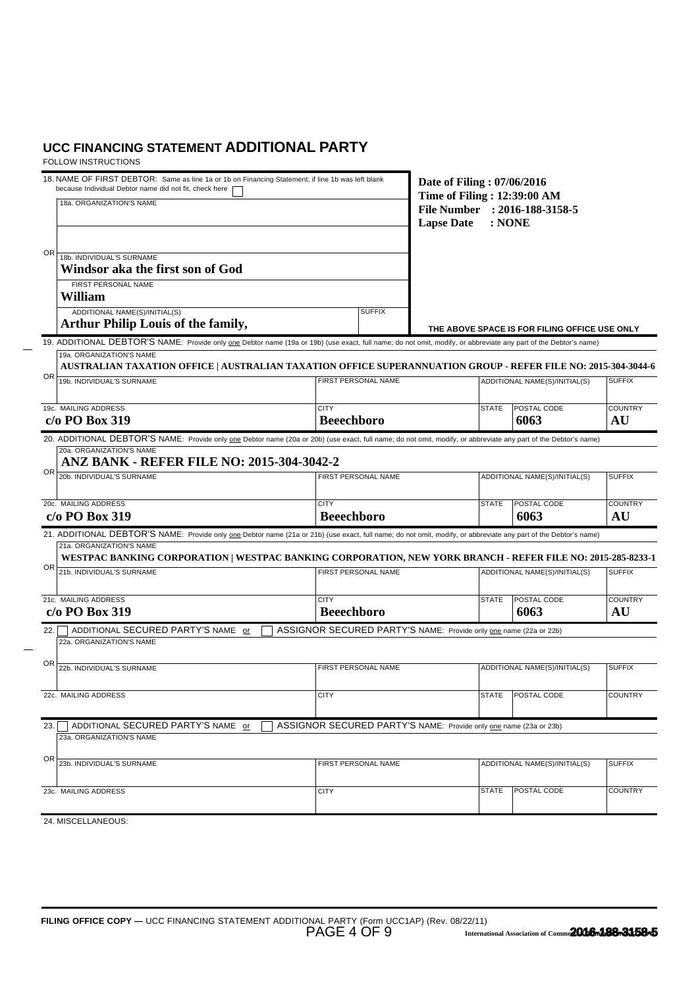| 18. NAME OF FIRST DEBTOR: Same as line 1a or 1b on Financing Statement; if line 1b was left blank<br>because Individual Debtor name did not fit, check here<br>18a. ORGANIZATION'S NAME      | Date of Filing: 07/06/2016<br>Time of Filing: 12:39:00 AM<br>File Number : 2016-188-3158-5<br><b>Lapse Date</b> | : <b>NONE</b> |                                               |                |
|----------------------------------------------------------------------------------------------------------------------------------------------------------------------------------------------|-----------------------------------------------------------------------------------------------------------------|---------------|-----------------------------------------------|----------------|
| OR<br>18b. INDIVIDUAL'S SURNAME<br>Windsor aka the first son of God                                                                                                                          |                                                                                                                 |               |                                               |                |
| FIRST PERSONAL NAME                                                                                                                                                                          |                                                                                                                 |               |                                               |                |
| William<br>ADDITIONAL NAME(S)/INITIAL(S)                                                                                                                                                     | <b>SUFFIX</b>                                                                                                   |               |                                               |                |
| <b>Arthur Philip Louis of the family,</b>                                                                                                                                                    |                                                                                                                 |               | THE ABOVE SPACE IS FOR FILING OFFICE USE ONLY |                |
| 19. ADDITIONAL DEBTOR'S NAME: Provide only one Debtor name (19a or 19b) (use exact, full name; do not omit, modify, or abbreviate any part of the Debtor's name)                             |                                                                                                                 |               |                                               |                |
| 19a. ORGANIZATION'S NAME<br>AUSTRALIAN TAXATION OFFICE   AUSTRALIAN TAXATION OFFICE SUPERANNUATION GROUP - REFER FILE NO: 2015-304-3044-6                                                    |                                                                                                                 |               |                                               |                |
| OR<br>19b. INDIVIDUAL'S SURNAME                                                                                                                                                              | FIRST PERSONAL NAME                                                                                             |               | ADDITIONAL NAME(S)/INITIAL(S)                 | <b>SUFFIX</b>  |
| 19c. MAILING ADDRESS                                                                                                                                                                         |                                                                                                                 | <b>STATE</b>  |                                               | <b>COUNTRY</b> |
| c/o PO Box 319                                                                                                                                                                               | <b>CITY</b><br><b>Beeechboro</b>                                                                                |               | <b>POSTAL CODE</b><br>6063                    | AU             |
| 20. ADDITIONAL DEBTOR'S NAME: Provide only one Debtor name (20a or 20b) (use exact, full name; do not omit, modify, or abbreviate any part of the Debtor's name)                             |                                                                                                                 |               |                                               |                |
| 20a. ORGANIZATION'S NAME<br>ANZ BANK - REFER FILE NO: 2015-304-3042-2                                                                                                                        |                                                                                                                 |               |                                               |                |
| OR<br>20b. INDIVIDUAL'S SURNAME                                                                                                                                                              | FIRST PERSONAL NAME                                                                                             |               | ADDITIONAL NAME(S)/INITIAL(S)                 |                |
|                                                                                                                                                                                              |                                                                                                                 |               |                                               |                |
| 20c. MAILING ADDRESS                                                                                                                                                                         | <b>CITY</b>                                                                                                     | <b>STATE</b>  | POSTAL CODE                                   | <b>COUNTRY</b> |
| $c/o$ PO Box 319                                                                                                                                                                             | <b>Beeechboro</b>                                                                                               |               | 6063                                          | AU             |
| 21. ADDITIONAL DEBTOR'S NAME: Provide only one Debtor name (21a or 21b) (use exact, full name; do not omit, modify, or abbreviate any part of the Debtor's name)<br>21a. ORGANIZATION'S NAME |                                                                                                                 |               |                                               |                |
| WESTPAC BANKING CORPORATION   WESTPAC BANKING CORPORATION, NEW YORK BRANCH - REFER FILE NO: 2015-285-8233-1                                                                                  |                                                                                                                 |               |                                               |                |
| OR.<br>21b. INDIVIDUAL'S SURNAME                                                                                                                                                             | FIRST PERSONAL NAME                                                                                             |               | ADDITIONAL NAME(S)/INITIAL(S)                 | <b>SUFFIX</b>  |
| 21c. MAILING ADDRESS                                                                                                                                                                         | <b>CITY</b>                                                                                                     | <b>STATE</b>  | POSTAL CODE                                   | <b>COUNTRY</b> |
| c/o PO Box 319                                                                                                                                                                               | <b>Beeechboro</b>                                                                                               |               | 6063                                          | AU             |
| ADDITIONAL SECURED PARTY'S NAME or<br>22.                                                                                                                                                    | ASSIGNOR SECURED PARTY'S NAME: Provide only one name (22a or 22b)                                               |               |                                               |                |
| 22a, ORGANIZATION'S NAME                                                                                                                                                                     |                                                                                                                 |               |                                               |                |
| ΟR<br>22b. INDIVIDUAL'S SURNAME                                                                                                                                                              | FIRST PERSONAL NAME                                                                                             |               | ADDITIONAL NAME(S)/INITIAL(S)                 | <b>SUFFIX</b>  |
|                                                                                                                                                                                              |                                                                                                                 |               |                                               |                |
| 22c. MAILING ADDRESS                                                                                                                                                                         | <b>CITY</b>                                                                                                     |               | STATE   POSTAL CODE                           | <b>COUNTRY</b> |
| ADDITIONAL SECURED PARTY'S NAME or                                                                                                                                                           | ASSIGNOR SECURED PARTY'S NAME: Provide only one name (23a or 23b)                                               |               |                                               |                |
| 23.<br>23a. ORGANIZATION'S NAME                                                                                                                                                              |                                                                                                                 |               |                                               |                |
| ΟR                                                                                                                                                                                           |                                                                                                                 |               |                                               |                |
| 23b. INDIVIDUAL'S SURNAME                                                                                                                                                                    | FIRST PERSONAL NAME                                                                                             |               | ADDITIONAL NAME(S)/INITIAL(S)                 | <b>SUFFIX</b>  |
| 23c. MAILING ADDRESS                                                                                                                                                                         | <b>CITY</b>                                                                                                     | <b>STATE</b>  | POSTAL CODE                                   | <b>COUNTRY</b> |
|                                                                                                                                                                                              |                                                                                                                 |               |                                               |                |
| 24. MISCELLANEOUS:                                                                                                                                                                           |                                                                                                                 |               |                                               |                |
|                                                                                                                                                                                              |                                                                                                                 |               |                                               |                |
|                                                                                                                                                                                              |                                                                                                                 |               |                                               |                |
|                                                                                                                                                                                              |                                                                                                                 |               |                                               |                |
|                                                                                                                                                                                              |                                                                                                                 |               |                                               |                |
|                                                                                                                                                                                              |                                                                                                                 |               |                                               |                |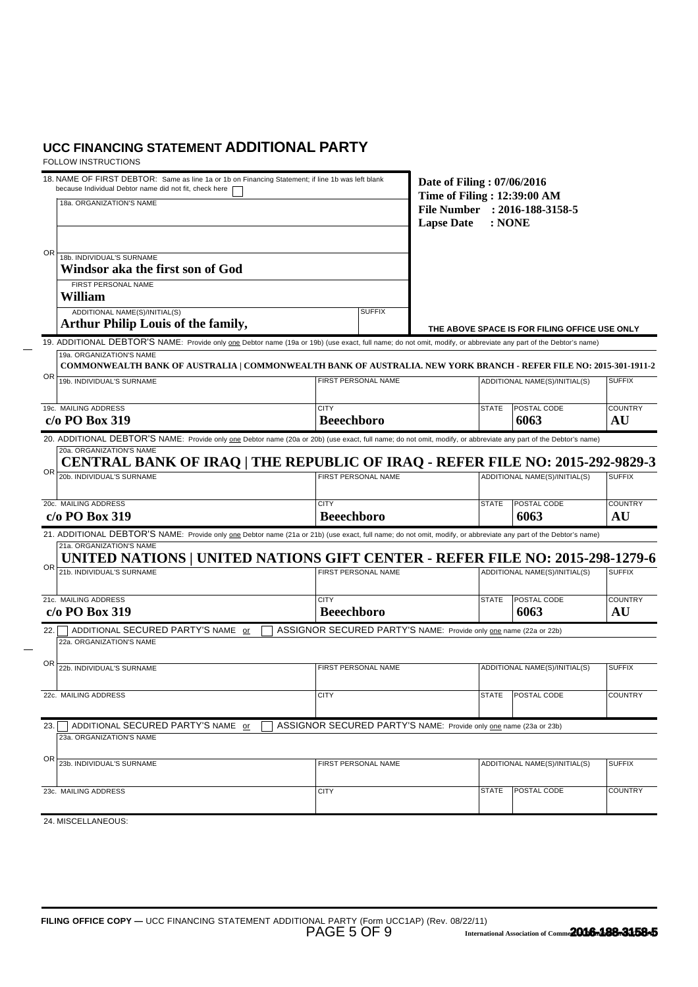| 18. NAME OF FIRST DEBTOR: Same as line 1a or 1b on Financing Statement; if line 1b was left blank<br>because Individual Debtor name did not fit, check here<br>18a. ORGANIZATION'S NAME | Date of Filing: 07/06/2016<br>Time of Filing: 12:39:00 AM<br>File Number : 2016-188-3158-5<br><b>Lapse Date</b> | : <b>NONE</b> |                                               |                      |
|-----------------------------------------------------------------------------------------------------------------------------------------------------------------------------------------|-----------------------------------------------------------------------------------------------------------------|---------------|-----------------------------------------------|----------------------|
| 0R<br>18b. INDIVIDUAL'S SURNAME<br>Windsor aka the first son of God<br>FIRST PERSONAL NAME<br>William                                                                                   |                                                                                                                 |               |                                               |                      |
| ADDITIONAL NAME(S)/INITIAL(S)<br><b>Arthur Philip Louis of the family,</b>                                                                                                              | <b>SUFFIX</b>                                                                                                   |               | THE ABOVE SPACE IS FOR FILING OFFICE USE ONLY |                      |
| 19. ADDITIONAL DEBTOR'S NAME: Provide only one Debtor name (19a or 19b) (use exact, full name; do not omit, modify, or abbreviate any part of the Debtor's name)                        |                                                                                                                 |               |                                               |                      |
| 19a. ORGANIZATION'S NAME<br>COMMONWEALTH BANK OF AUSTRALIA   COMMONWEALTH BANK OF AUSTRALIA. NEW YORK BRANCH - REFER FILE NO: 2015-301-1911-2                                           |                                                                                                                 |               |                                               |                      |
| OR<br>19b. INDIVIDUAL'S SURNAME                                                                                                                                                         | FIRST PERSONAL NAME                                                                                             |               | ADDITIONAL NAME(S)/INITIAL(S)                 | <b>SUFFIX</b>        |
| 19c. MAILING ADDRESS<br>c/o PO Box 319                                                                                                                                                  | <b>CITY</b><br><b>Beeechboro</b>                                                                                | <b>STATE</b>  | POSTAL CODE<br>6063                           | <b>COUNTRY</b><br>AU |
| 20. ADDITIONAL DEBTOR'S NAME: Provide only one Debtor name (20a or 20b) (use exact, full name; do not omit, modify, or abbreviate any part of the Debtor's name)                        |                                                                                                                 |               |                                               |                      |
| 20a. ORGANIZATION'S NAME<br>CENTRAL BANK OF IRAQ   THE REPUBLIC OF IRAQ - REFER FILE NO: 2015-292-9829-3                                                                                |                                                                                                                 |               |                                               |                      |
| OR<br>20b. INDIVIDUAL'S SURNAME                                                                                                                                                         | FIRST PERSONAL NAME                                                                                             |               | ADDITIONAL NAME(S)/INITIAL(S)                 |                      |
| 20c. MAILING ADDRESS<br>c/o PO Box 319                                                                                                                                                  | <b>CITY</b><br><b>Beeechboro</b>                                                                                | <b>STATE</b>  | POSTAL CODE<br>6063                           | <b>COUNTRY</b><br>AU |
| 21. ADDITIONAL DEBTOR'S NAME: Provide only one Debtor name (21a or 21b) (use exact, full name; do not omit, modify, or abbreviate any part of the Debtor's name)                        |                                                                                                                 |               |                                               |                      |
| 21a. ORGANIZATION'S NAME<br>UNITED NATIONS   UNITED NATIONS GIFT CENTER - REFER FILE NO: 2015-298-1279-6                                                                                |                                                                                                                 |               |                                               |                      |
| 0R<br>21b. INDIVIDUAL'S SURNAME                                                                                                                                                         | FIRST PERSONAL NAME                                                                                             |               | ADDITIONAL NAME(S)/INITIAL(S)                 | <b>SUFFIX</b>        |
| 21c. MAILING ADDRESS<br>$c/o$ PO Box 319                                                                                                                                                | <b>CITY</b><br><b>Beeechboro</b>                                                                                | <b>STATE</b>  | POSTAL CODE<br>6063                           | <b>COUNTRY</b><br>AU |
| ADDITIONAL SECURED PARTY'S NAME or<br>22.<br>22a. ORGANIZATION'S NAME                                                                                                                   | ASSIGNOR SECURED PARTY'S NAME: Provide only one name (22a or 22b)                                               |               |                                               |                      |
| OR<br>22b. INDIVIDUAL'S SURNAME                                                                                                                                                         | FIRST PERSONAL NAME                                                                                             |               | ADDITIONAL NAME(S)/INITIAL(S)                 | <b>SUFFIX</b>        |
| 22c. MAILING ADDRESS                                                                                                                                                                    | <b>CITY</b>                                                                                                     |               | STATE POSTAL CODE                             | <b>COUNTRY</b>       |
| ADDITIONAL SECURED PARTY'S NAME or<br>23.<br>23a, ORGANIZATION'S NAME                                                                                                                   | ASSIGNOR SECURED PARTY'S NAME: Provide only one name (23a or 23b)                                               |               |                                               |                      |
| OR<br>23b. INDIVIDUAL'S SURNAME                                                                                                                                                         | FIRST PERSONAL NAME                                                                                             |               | ADDITIONAL NAME(S)/INITIAL(S)                 | <b>SUFFIX</b>        |
| 23c. MAILING ADDRESS                                                                                                                                                                    | <b>CITY</b>                                                                                                     | <b>STATE</b>  | POSTAL CODE                                   | <b>COUNTRY</b>       |
| 24. MISCELLANEOUS:                                                                                                                                                                      |                                                                                                                 |               |                                               |                      |
|                                                                                                                                                                                         |                                                                                                                 |               |                                               |                      |
|                                                                                                                                                                                         |                                                                                                                 |               |                                               |                      |
|                                                                                                                                                                                         |                                                                                                                 |               |                                               |                      |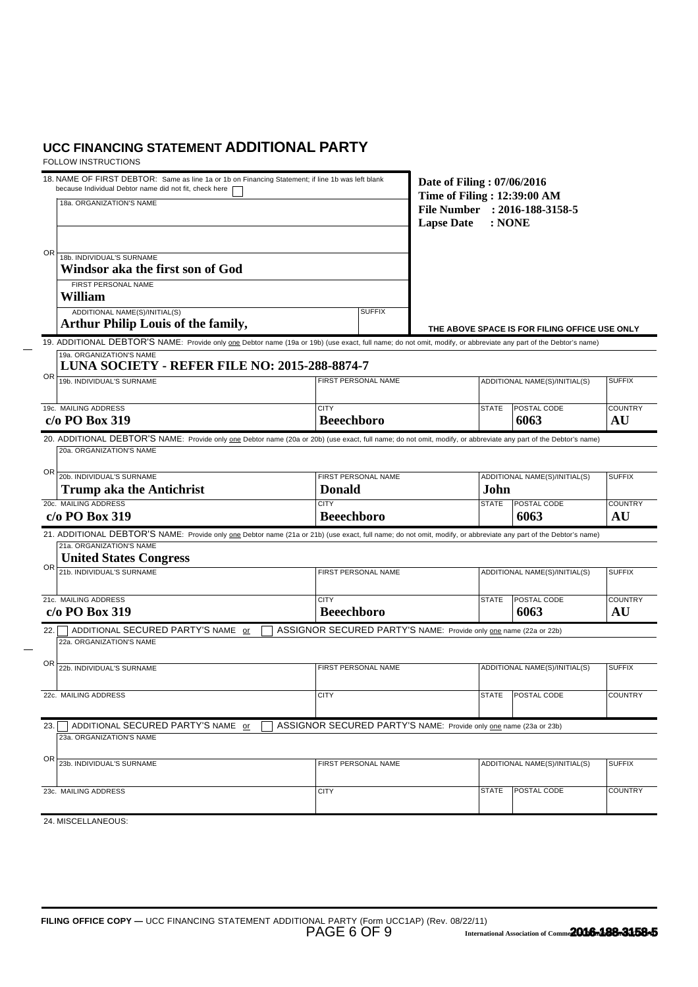| 18. NAME OF FIRST DEBTOR: Same as line 1a or 1b on Financing Statement; if line 1b was left blank<br>because Individual Debtor name did not fit, check here<br>18a. ORGANIZATION'S NAME      | Date of Filing: 07/06/2016<br>Time of Filing: 12:39:00 AM<br><b>Lapse Date</b> | File Number : 2016-188-3158-5<br>: <b>NONE</b> |                                               |                      |
|----------------------------------------------------------------------------------------------------------------------------------------------------------------------------------------------|--------------------------------------------------------------------------------|------------------------------------------------|-----------------------------------------------|----------------------|
| 0R<br>18b. INDIVIDUAL'S SURNAME<br>Windsor aka the first son of God                                                                                                                          |                                                                                |                                                |                                               |                      |
| FIRST PERSONAL NAME                                                                                                                                                                          |                                                                                |                                                |                                               |                      |
| William                                                                                                                                                                                      |                                                                                |                                                |                                               |                      |
| ADDITIONAL NAME(S)/INITIAL(S)<br><b>Arthur Philip Louis of the family,</b>                                                                                                                   | <b>SUFFIX</b>                                                                  |                                                | THE ABOVE SPACE IS FOR FILING OFFICE USE ONLY |                      |
| 19. ADDITIONAL DEBTOR'S NAME: Provide only one Debtor name (19a or 19b) (use exact, full name; do not omit, modify, or abbreviate any part of the Debtor's name)<br>19a. ORGANIZATION'S NAME |                                                                                |                                                |                                               |                      |
| LUNA SOCIETY - REFER FILE NO: 2015-288-8874-7                                                                                                                                                |                                                                                |                                                |                                               |                      |
| OR<br>19b. INDIVIDUAL'S SURNAME                                                                                                                                                              | FIRST PERSONAL NAME                                                            |                                                | ADDITIONAL NAME(S)/INITIAL(S)                 | <b>SUFFIX</b>        |
| 19c. MAILING ADDRESS<br>c/o PO Box 319                                                                                                                                                       | <b>CITY</b><br><b>Beeechboro</b>                                               | <b>STATE</b>                                   | POSTAL CODE<br>6063                           | <b>COUNTRY</b><br>AU |
| 20. ADDITIONAL DEBTOR'S NAME: Provide only one Debtor name (20a or 20b) (use exact, full name; do not omit, modify, or abbreviate any part of the Debtor's name)<br>20a. ORGANIZATION'S NAME |                                                                                |                                                |                                               |                      |
| OR<br>20b. INDIVIDUAL'S SURNAME                                                                                                                                                              | FIRST PERSONAL NAME                                                            |                                                | ADDITIONAL NAME(S)/INITIAL(S)                 |                      |
| <b>Trump aka the Antichrist</b><br>20c. MAILING ADDRESS                                                                                                                                      | <b>Donald</b><br><b>CITY</b>                                                   |                                                | John<br>POSTAL CODE<br><b>STATE</b>           | <b>COUNTRY</b>       |
| c/o PO Box 319                                                                                                                                                                               | <b>Beeechboro</b>                                                              |                                                | 6063                                          | AU                   |
| <b>United States Congress</b><br>OR.<br>21b. INDIVIDUAL'S SURNAME                                                                                                                            | FIRST PERSONAL NAME                                                            |                                                | ADDITIONAL NAME(S)/INITIAL(S)                 | <b>SUFFIX</b>        |
| 21c. MAILING ADDRESS<br>c/o PO Box 319                                                                                                                                                       | <b>CITY</b><br><b>Beeechboro</b>                                               |                                                | POSTAL CODE<br><b>STATE</b><br>6063           | <b>COUNTRY</b><br>AU |
| ADDITIONAL SECURED PARTY'S NAME or<br>22.<br>22a. ORGANIZATION'S NAME                                                                                                                        | ASSIGNOR SECURED PARTY'S NAME: Provide only one name (22a or 22b)              |                                                |                                               |                      |
| OR<br>22b. INDIVIDUAL'S SURNAME                                                                                                                                                              | FIRST PERSONAL NAME                                                            |                                                | ADDITIONAL NAME(S)/INITIAL(S)                 | <b>SUFFIX</b>        |
| 22c. MAILING ADDRESS                                                                                                                                                                         | <b>CITY</b>                                                                    |                                                | STATE   POSTAL CODE                           | <b>COUNTRY</b>       |
| ADDITIONAL SECURED PARTY'S NAME or<br>23.<br>23a. ORGANIZATION'S NAME                                                                                                                        | ASSIGNOR SECURED PARTY'S NAME: Provide only one name (23a or 23b)              |                                                |                                               |                      |
| OR<br>23b. INDIVIDUAL'S SURNAME                                                                                                                                                              | FIRST PERSONAL NAME                                                            |                                                | ADDITIONAL NAME(S)/INITIAL(S)                 | <b>SUFFIX</b>        |
|                                                                                                                                                                                              |                                                                                |                                                |                                               |                      |
| 23c. MAILING ADDRESS                                                                                                                                                                         | <b>CITY</b>                                                                    | <b>STATE</b>                                   | POSTAL CODE                                   | <b>COUNTRY</b>       |
| 24. MISCELLANEOUS:                                                                                                                                                                           |                                                                                |                                                |                                               |                      |
|                                                                                                                                                                                              |                                                                                |                                                |                                               |                      |
|                                                                                                                                                                                              |                                                                                |                                                |                                               |                      |
|                                                                                                                                                                                              |                                                                                |                                                |                                               |                      |
|                                                                                                                                                                                              |                                                                                |                                                |                                               |                      |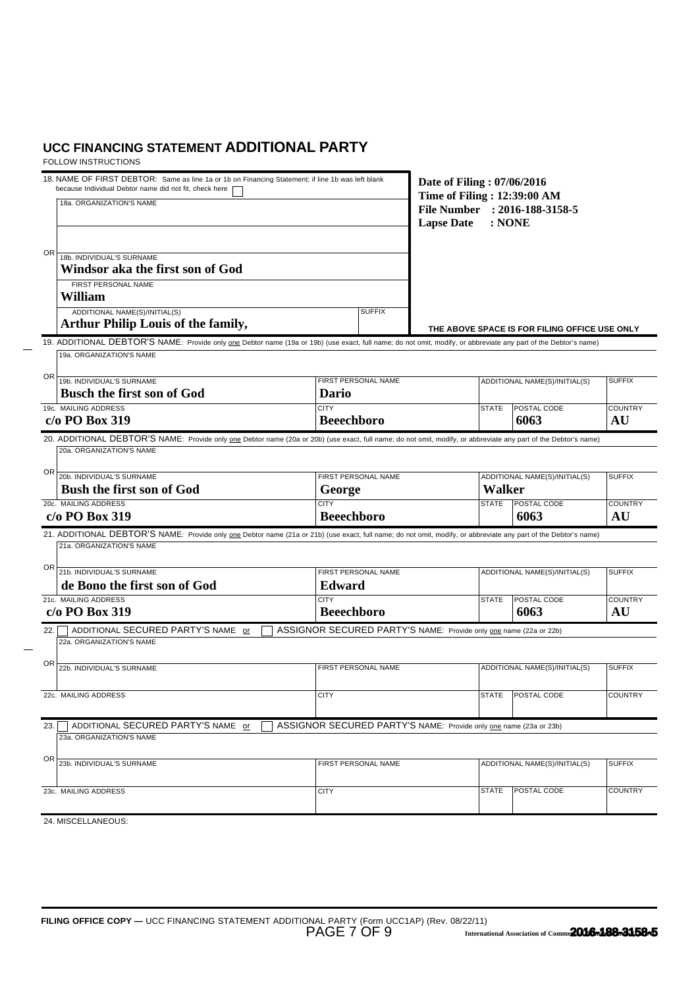| 0R<br>18b. INDIVIDUAL'S SURNAME<br>Windsor aka the first son of God<br>FIRST PERSONAL NAME<br>William<br>ADDITIONAL NAME(S)/INITIAL(S)<br><b>Arthur Philip Louis of the family,</b><br>19. ADDITIONAL DEBTOR'S NAME: Provide only one Debtor name (19a or 19b) (use exact, full name; do not omit, modify, or abbreviate any part of the Debtor's name)<br>19a. ORGANIZATION'S NAME<br>OR<br>19b. INDIVIDUAL'S SURNAME<br><b>Busch the first son of God</b><br>19c. MAILING ADDRESS<br>c/o PO Box 319<br>20. ADDITIONAL DEBTOR'S NAME: Provide only one Debtor name (20a or 20b) (use exact, full name; do not omit, modify, or abbreviate any part of the Debtor's name)<br>20a. ORGANIZATION'S NAME | <b>SUFFIX</b><br>FIRST PERSONAL NAME<br>Dario<br><b>CITY</b><br><b>Beeechboro</b> |  |                               | THE ABOVE SPACE IS FOR FILING OFFICE USE ONLY<br>ADDITIONAL NAME(S)/INITIAL(S) |                      |
|-------------------------------------------------------------------------------------------------------------------------------------------------------------------------------------------------------------------------------------------------------------------------------------------------------------------------------------------------------------------------------------------------------------------------------------------------------------------------------------------------------------------------------------------------------------------------------------------------------------------------------------------------------------------------------------------------------|-----------------------------------------------------------------------------------|--|-------------------------------|--------------------------------------------------------------------------------|----------------------|
|                                                                                                                                                                                                                                                                                                                                                                                                                                                                                                                                                                                                                                                                                                       |                                                                                   |  |                               |                                                                                |                      |
|                                                                                                                                                                                                                                                                                                                                                                                                                                                                                                                                                                                                                                                                                                       |                                                                                   |  |                               |                                                                                |                      |
|                                                                                                                                                                                                                                                                                                                                                                                                                                                                                                                                                                                                                                                                                                       |                                                                                   |  |                               |                                                                                |                      |
|                                                                                                                                                                                                                                                                                                                                                                                                                                                                                                                                                                                                                                                                                                       |                                                                                   |  |                               |                                                                                | <b>SUFFIX</b>        |
|                                                                                                                                                                                                                                                                                                                                                                                                                                                                                                                                                                                                                                                                                                       |                                                                                   |  | <b>STATE</b>                  | <b>POSTAL CODE</b><br>6063                                                     | <b>COUNTRY</b><br>AU |
| OR<br>20b. INDIVIDUAL'S SURNAME                                                                                                                                                                                                                                                                                                                                                                                                                                                                                                                                                                                                                                                                       | <b>FIRST PERSONAL NAME</b>                                                        |  |                               | ADDITIONAL NAME(S)/INITIAL(S)                                                  | <b>SUFFIX</b>        |
| Bush the first son of God<br>20c. MAILING ADDRESS                                                                                                                                                                                                                                                                                                                                                                                                                                                                                                                                                                                                                                                     | George<br><b>CITY</b>                                                             |  | <b>Walker</b><br><b>STATE</b> | POSTAL CODE                                                                    | <b>COUNTRY</b>       |
| $c/o$ PO Box 319                                                                                                                                                                                                                                                                                                                                                                                                                                                                                                                                                                                                                                                                                      | <b>Beeechboro</b>                                                                 |  |                               | 6063                                                                           | AU                   |
| 21. ADDITIONAL DEBTOR'S NAME: Provide only one Debtor name (21a or 21b) (use exact, full name; do not omit, modify, or abbreviate any part of the Debtor's name)<br>21a. ORGANIZATION'S NAME<br>OR<br>21b. INDIVIDUAL'S SURNAME<br>de Bono the first son of God                                                                                                                                                                                                                                                                                                                                                                                                                                       | FIRST PERSONAL NAME<br><b>Edward</b>                                              |  |                               | ADDITIONAL NAME(S)/INITIAL(S)                                                  | <b>SUFFIX</b>        |
| 21c. MAILING ADDRESS<br>$c/o$ PO Box 319                                                                                                                                                                                                                                                                                                                                                                                                                                                                                                                                                                                                                                                              | <b>CITY</b><br><b>Beeechboro</b>                                                  |  | <b>STATE</b>                  | POSTAL CODE<br>6063                                                            | <b>COUNTRY</b><br>AU |
| ADDITIONAL SECURED PARTY'S NAME or<br>22.<br>22a, ORGANIZATION'S NAME                                                                                                                                                                                                                                                                                                                                                                                                                                                                                                                                                                                                                                 | ASSIGNOR SECURED PARTY'S NAME: Provide only one name (22a or 22b)                 |  |                               |                                                                                |                      |
| ΟR<br>22b. INDIVIDUAL'S SURNAME                                                                                                                                                                                                                                                                                                                                                                                                                                                                                                                                                                                                                                                                       | FIRST PERSONAL NAME                                                               |  |                               | ADDITIONAL NAME(S)/INITIAL(S)                                                  | <b>SUFFIX</b>        |
| 22c. MAILING ADDRESS                                                                                                                                                                                                                                                                                                                                                                                                                                                                                                                                                                                                                                                                                  | <b>CITY</b>                                                                       |  |                               | STATE   POSTAL CODE                                                            | COUNTRY              |
| ADDITIONAL SECURED PARTY'S NAME or<br>23.<br>23a. ORGANIZATION'S NAME                                                                                                                                                                                                                                                                                                                                                                                                                                                                                                                                                                                                                                 | ASSIGNOR SECURED PARTY'S NAME: Provide only one name (23a or 23b)                 |  |                               |                                                                                |                      |
| OR<br>23b. INDIVIDUAL'S SURNAME                                                                                                                                                                                                                                                                                                                                                                                                                                                                                                                                                                                                                                                                       | FIRST PERSONAL NAME                                                               |  |                               | ADDITIONAL NAME(S)/INITIAL(S)                                                  | <b>SUFFIX</b>        |
| 23c. MAILING ADDRESS                                                                                                                                                                                                                                                                                                                                                                                                                                                                                                                                                                                                                                                                                  | <b>CITY</b>                                                                       |  | <b>STATE</b>                  | POSTAL CODE                                                                    | <b>COUNTRY</b>       |
| 24. MISCELLANEOUS:                                                                                                                                                                                                                                                                                                                                                                                                                                                                                                                                                                                                                                                                                    |                                                                                   |  |                               |                                                                                |                      |
|                                                                                                                                                                                                                                                                                                                                                                                                                                                                                                                                                                                                                                                                                                       |                                                                                   |  |                               |                                                                                |                      |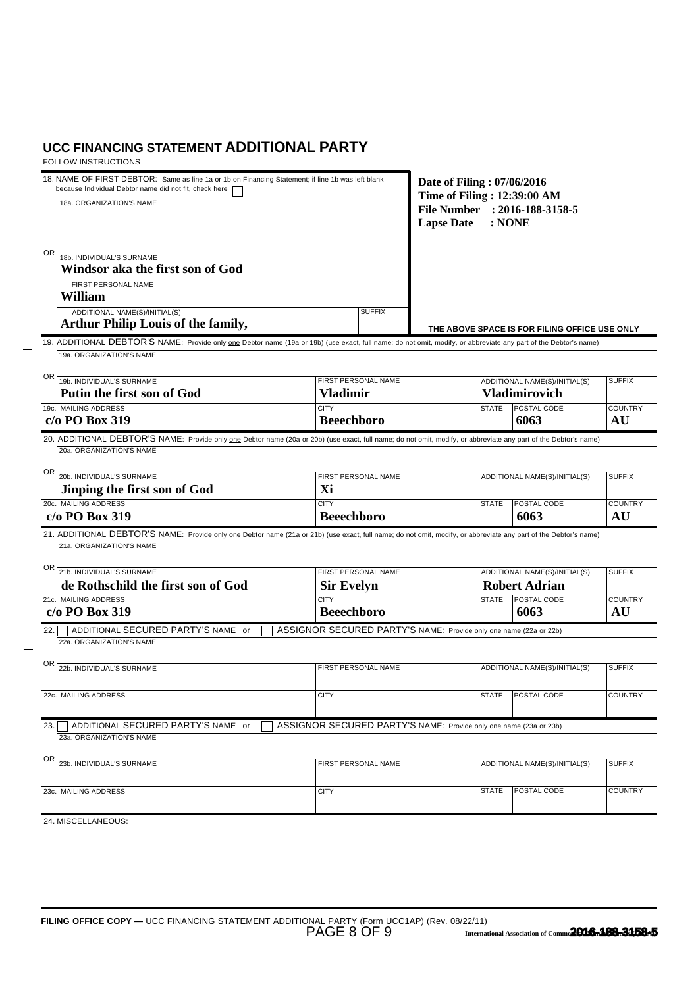| 18. NAME OF FIRST DEBTOR: Same as line 1a or 1b on Financing Statement; if line 1b was left blank<br>because Individual Debtor name did not fit, check here<br>18a. ORGANIZATION'S NAME                                                                               | Date of Filing: 07/06/2016<br>Time of Filing: 12:39:00 AM<br>File Number : 2016-188-3158-5<br><b>Lapse Date</b> | : <b>NONE</b>                 |                                                       |                      |
|-----------------------------------------------------------------------------------------------------------------------------------------------------------------------------------------------------------------------------------------------------------------------|-----------------------------------------------------------------------------------------------------------------|-------------------------------|-------------------------------------------------------|----------------------|
| 0R<br>18b. INDIVIDUAL'S SURNAME<br>Windsor aka the first son of God<br>FIRST PERSONAL NAME<br>William<br>ADDITIONAL NAME(S)/INITIAL(S)                                                                                                                                | <b>SUFFIX</b>                                                                                                   |                               |                                                       |                      |
| <b>Arthur Philip Louis of the family,</b><br>19. ADDITIONAL DEBTOR'S NAME: Provide only one Debtor name (19a or 19b) (use exact, full name; do not omit, modify, or abbreviate any part of the Debtor's name)                                                         |                                                                                                                 |                               | THE ABOVE SPACE IS FOR FILING OFFICE USE ONLY         |                      |
| 19a. ORGANIZATION'S NAME                                                                                                                                                                                                                                              |                                                                                                                 |                               |                                                       |                      |
| OR<br>19b. INDIVIDUAL'S SURNAME<br>Putin the first son of God                                                                                                                                                                                                         | FIRST PERSONAL NAME<br><b>Vladimir</b>                                                                          |                               | ADDITIONAL NAME(S)/INITIAL(S)<br><b>Vladimirovich</b> | <b>SUFFIX</b>        |
| 19c. MAILING ADDRESS<br>c/o PO Box 319                                                                                                                                                                                                                                | <b>CITY</b><br><b>Beeechboro</b>                                                                                | <b>STATE</b>                  | <b>POSTAL CODE</b><br>6063                            | <b>COUNTRY</b><br>AU |
| 20. ADDITIONAL DEBTOR'S NAME: Provide only one Debtor name (20a or 20b) (use exact, full name; do not omit, modify, or abbreviate any part of the Debtor's name)<br>20a. ORGANIZATION'S NAME                                                                          |                                                                                                                 |                               |                                                       |                      |
| OR                                                                                                                                                                                                                                                                    |                                                                                                                 |                               |                                                       | <b>SUFFIX</b>        |
| 20b. INDIVIDUAL'S SURNAME<br>Jinping the first son of God                                                                                                                                                                                                             | FIRST PERSONAL NAME<br>Xi                                                                                       |                               | ADDITIONAL NAME(S)/INITIAL(S)                         |                      |
| 20c. MAILING ADDRESS<br>c/o PO Box 319                                                                                                                                                                                                                                | <b>CITY</b><br><b>Beeechboro</b>                                                                                | <b>STATE</b>                  | POSTAL CODE<br>6063                                   | <b>COUNTRY</b><br>AU |
| 21. ADDITIONAL DEBTOR'S NAME: Provide only one Debtor name (21a or 21b) (use exact, full name; do not omit, modify, or abbreviate any part of the Debtor's name)<br>21a. ORGANIZATION'S NAME<br>OR<br>21b. INDIVIDUAL'S SURNAME<br>de Rothschild the first son of God | FIRST PERSONAL NAME<br><b>Sir Evelyn</b>                                                                        |                               | ADDITIONAL NAME(S)/INITIAL(S)<br><b>Robert Adrian</b> | <b>SUFFIX</b>        |
| 21c. MAILING ADDRESS<br>$c/o$ PO Box 319                                                                                                                                                                                                                              | <b>CITY</b><br><b>Beeechboro</b>                                                                                | <b>STATE</b>                  | <b>POSTAL CODE</b><br>6063                            | <b>COUNTRY</b><br>AU |
| ADDITIONAL SECURED PARTY'S NAME or<br>22.                                                                                                                                                                                                                             | ASSIGNOR SECURED PARTY'S NAME: Provide only one name (22a or 22b)                                               |                               |                                                       |                      |
| 22a. ORGANIZATION'S NAME                                                                                                                                                                                                                                              |                                                                                                                 |                               |                                                       |                      |
| ΟR<br>22b. INDIVIDUAL'S SURNAME                                                                                                                                                                                                                                       | FIRST PERSONAL NAME                                                                                             |                               | ADDITIONAL NAME(S)/INITIAL(S)                         |                      |
| 22c. MAILING ADDRESS                                                                                                                                                                                                                                                  | <b>CITY</b>                                                                                                     |                               | STATE   POSTAL CODE                                   | COUNTRY              |
| ADDITIONAL SECURED PARTY'S NAME or<br>23.                                                                                                                                                                                                                             | ASSIGNOR SECURED PARTY'S NAME: Provide only one name (23a or 23b)                                               |                               |                                                       |                      |
| 23a. ORGANIZATION'S NAME                                                                                                                                                                                                                                              |                                                                                                                 |                               |                                                       |                      |
| OR<br>23b. INDIVIDUAL'S SURNAME                                                                                                                                                                                                                                       | FIRST PERSONAL NAME                                                                                             | ADDITIONAL NAME(S)/INITIAL(S) |                                                       | <b>SUFFIX</b>        |
| 23c. MAILING ADDRESS                                                                                                                                                                                                                                                  | <b>CITY</b>                                                                                                     | <b>STATE</b>                  | POSTAL CODE                                           | <b>COUNTRY</b>       |
| 24. MISCELLANEOUS:                                                                                                                                                                                                                                                    |                                                                                                                 |                               |                                                       |                      |
|                                                                                                                                                                                                                                                                       |                                                                                                                 |                               |                                                       |                      |
| FILING OFFICE COPY - UCC FINANCING STATEMENT ADDITIONAL PARTY (Form UCC1AP) (Rev. 08/22/11)                                                                                                                                                                           | PAGE 8 OF 9                                                                                                     |                               | International Association of Commo2016-188-3158-5     |                      |